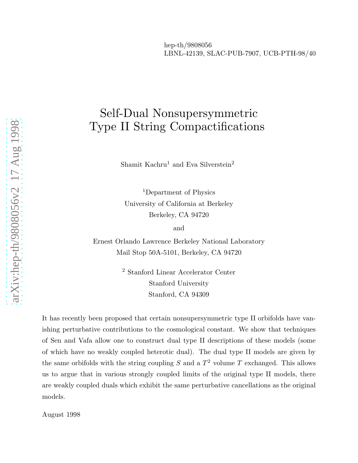# Self-Dual Nonsupersymmetric Type II String Compactifications

Shamit Kachru<sup>1</sup> and Eva Silverstein<sup>2</sup>

<sup>1</sup>Department of Physics University of California at Berkeley Berkeley, CA 94720

and

Ernest Orlando Lawrence Berkeley National Laboratory Mail Stop 50A-5101, Berkeley, CA 94720

> <sup>2</sup> Stanford Linear Accelerator Center Stanford University Stanford, CA 94309

It has recently been proposed that certain nonsupersymmetric type II orbifolds have vanishing perturbative contributions to the cosmological constant. We show that techniques of Sen and Vafa allow one to construct dual type II descriptions of these models (some of which have no weakly coupled heterotic dual). The dual type II models are given by the same orbifolds with the string coupling S and a  $T^2$  volume T exchanged. This allows us to argue that in various strongly coupled limits of the original type II models, there are weakly coupled duals which exhibit the same perturbative cancellations as the original models.

August 1998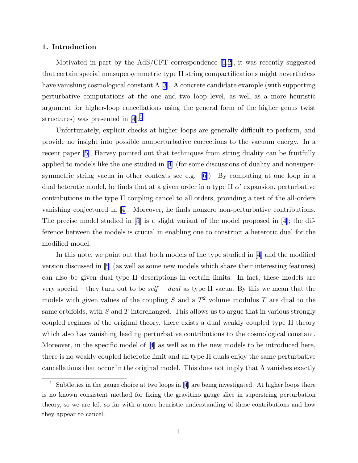#### 1. Introduction

Motivated in part by the AdS/CFT correspondence [\[1](#page-9-0),[2\]](#page-9-0), it was recently suggested that certain special nonsupersymmetric type II string compactifications might nevertheless have vanishing cosmological constant  $\Lambda$  [\[3](#page-9-0)]. A concrete candidate example (with supporting perturbative computations at the one and two loop level, as well as a more heuristic argument for higher-loop cancellations using the general form of the higher genus twist structures) was presented in [\[4](#page-9-0)].<sup>1</sup>

Unfortunately, explicit checks at higher loops are generally difficult to perform, and provide no insight into possible nonperturbative corrections to the vacuum energy. In a recent paper[[5\]](#page-9-0), Harvey pointed out that techniques from string duality can be fruitfully applied to models like the one studied in[[4](#page-9-0)] (for some discussions of duality and nonsupersymmetric string vacua in other contexts see e.g.[[6](#page-9-0)]). By computing at one loop in a dual heterotic model, he finds that at a given order in a type II  $\alpha'$  expansion, perturbative contributions in the type II coupling cancel to all orders, providing a test of the all-orders vanishing conjectured in [\[4](#page-9-0)]. Moreover, he finds nonzero non-perturbative contributions. The precise model studied in[[5](#page-9-0)] is a slight variant of the model proposed in[[4\]](#page-9-0); the difference between the models is crucial in enabling one to construct a heterotic dual for the modified model.

In this note, we point out that both models of the type studied in[[4](#page-9-0)] and the modified version discussed in [\[5](#page-9-0)] (as well as some new models which share their interesting features) can also be given dual type II descriptions in certain limits. In fact, these models are very special – they turn out to be  $self - dual$  as type II vacua. By this we mean that the models with given values of the coupling S and a  $T^2$  volume modulus T are dual to the same orbifolds, with  $S$  and  $T$  interchanged. This allows us to argue that in various strongly coupled regimes of the original theory, there exists a dual weakly coupled type II theory which also has vanishing leading perturbative contributions to the cosmological constant. Moreover, in the specific model of[[4\]](#page-9-0) as well as in the new models to be introduced here, there is no weakly coupled heterotic limit and all type II duals enjoy the same perturbative cancellations that occur in the original model. This does not imply that  $\Lambda$  vanishes exactly

<sup>&</sup>lt;sup>1</sup>Subtleties in the gauge choice at two loops in  $[4]$  $[4]$  $[4]$  are being investigated. At higher loops there is no known consistent method for fixing the gravitino gauge slice in superstring perturbation theory, so we are left so far with a more heuristic understanding of these contributions and how they appear to cancel.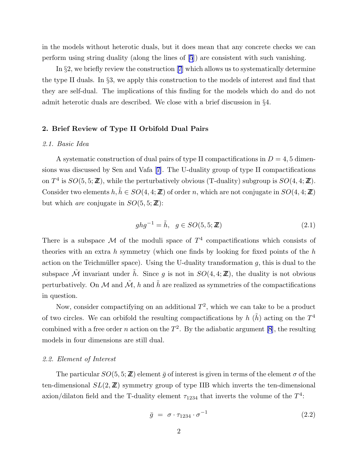<span id="page-2-0"></span>in the models without heterotic duals, but it does mean that any concrete checks we can perform using string duality (along the lines of [\[5](#page-9-0)]) are consistent with such vanishing.

In §2, we briefly review the construction [\[7](#page-9-0)] which allows us to systematically determine the type II duals. In §3, we apply this construction to the models of interest and find that they are self-dual. The implications of this finding for the models which do and do not admit heterotic duals are described. We close with a brief discussion in §4.

## 2. Brief Review of Type II Orbifold Dual Pairs

### 2.1. Basic Idea

A systematic construction of dual pairs of type II compactifications in  $D = 4, 5$  dimensions was discussed by Sen and Vafa[[7\]](#page-9-0). The U-duality group of type II compactifications on  $T^4$  is  $SO(5, 5; \mathbb{Z})$ , while the perturbatively obvious (T-duality) subgroup is  $SO(4, 4; \mathbb{Z})$ . Consider two elements  $h, \tilde{h} \in SO(4, 4; \mathbb{Z})$  of order n, which are not conjugate in  $SO(4, 4; \mathbb{Z})$ but which are conjugate in  $SO(5, 5; \mathbb{Z})$ :

$$
ghg^{-1} = \tilde{h}, \quad g \in SO(5, 5; \mathbb{Z})
$$
\n
$$
(2.1)
$$

There is a subspace  $\mathcal M$  of the moduli space of  $T^4$  compactifications which consists of theories with an extra h symmetry (which one finds by looking for fixed points of the h action on the Teichmüller space). Using the U-duality transformation  $q$ , this is dual to the subspace  $\tilde{\mathcal{M}}$  invariant under  $\tilde{h}$ . Since q is not in  $SO(4, 4; \mathbb{Z})$ , the duality is not obvious perturbatively. On M and  $\tilde{M}$ , h and  $\tilde{h}$  are realized as symmetries of the compactifications in question.

Now, consider compactifying on an additional  $T^2$ , which we can take to be a product of two circles. We can orbifold the resulting compactifications by h  $(h)$  acting on the  $T<sup>4</sup>$ combined with a free order n action on the  $T^2$ . By the adiabatic argument [\[8](#page-9-0)], the resulting models in four dimensions are still dual.

#### 2.2. Element of Interest

The particular  $SO(5, 5; \mathbb{Z})$  element  $\bar{g}$  of interest is given in terms of the element  $\sigma$  of the ten-dimensional  $SL(2, \mathbb{Z})$  symmetry group of type IIB which inverts the ten-dimensional axion/dilaton field and the T-duality element  $\tau_{1234}$  that inverts the volume of the  $T^4$ :

$$
\bar{g} = \sigma \cdot \tau_{1234} \cdot \sigma^{-1} \tag{2.2}
$$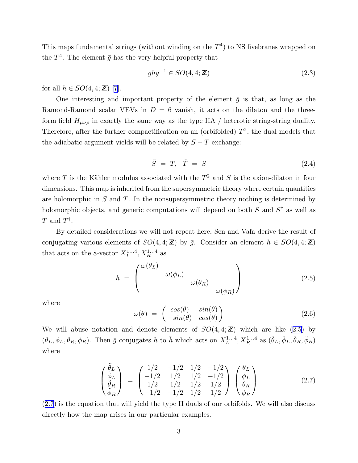<span id="page-3-0"></span>This maps fundamental strings (without winding on the  $T<sup>4</sup>$ ) to NS fivebranes wrapped on the  $T^4$ . The element  $\bar{g}$  has the very helpful property that

$$
\bar{g}h\bar{g}^{-1} \in SO(4,4;\mathbb{Z})
$$
\n(2.3)

forall  $h \in SO(4, 4; \mathbb{Z})$  [[7\]](#page-9-0).

One interesting and important property of the element  $\bar{q}$  is that, as long as the Ramond-Ramond scalar VEVs in  $D = 6$  vanish, it acts on the dilaton and the threeform field  $H_{\mu\nu\rho}$  in exactly the same way as the type IIA / heterotic string-string duality. Therefore, after the further compactification on an (orbifolded)  $T^2$ , the dual models that the adiabatic argument yields will be related by  $S - T$  exchange:

$$
\tilde{S} = T, \quad \tilde{T} = S \tag{2.4}
$$

where T is the Kähler modulus associated with the  $T^2$  and S is the axion-dilaton in four dimensions. This map is inherited from the supersymmetric theory where certain quantities are holomorphic in  $S$  and  $T$ . In the nonsupersymmetric theory nothing is determined by holomorphic objects, and generic computations will depend on both  $S$  and  $S^{\dagger}$  as well as T and  $T^{\dagger}$ .

By detailed considerations we will not repeat here, Sen and Vafa derive the result of conjugating various elements of  $SO(4, 4; \mathbb{Z})$  by  $\bar{g}$ . Consider an element  $h \in SO(4, 4; \mathbb{Z})$ that acts on the 8-vector  $X_L^{1...4}, X_R^{1...4}$  as

$$
h = \begin{pmatrix} \omega(\theta_L) & & \\ & \omega(\phi_L) & \\ & & \omega(\theta_R) \\ & & & \omega(\phi_R) \end{pmatrix} \tag{2.5}
$$

where

$$
\omega(\theta) = \begin{pmatrix} \cos(\theta) & \sin(\theta) \\ -\sin(\theta) & \cos(\theta) \end{pmatrix}
$$
 (2.6)

We will abuse notation and denote elements of  $SO(4, 4; \mathbb{Z})$  which are like  $(2.5)$  by  $(\theta_L, \phi_L, \theta_R, \phi_R)$ . Then  $\bar{g}$  conjugates h to  $\tilde{h}$  which acts on  $X_L^{1...4}, X_R^{1...4}$  as  $(\tilde{\theta}_L, \tilde{\phi}_L, \tilde{\theta}_R, \tilde{\phi}_R)$ where

$$
\begin{pmatrix}\n\tilde{\theta}_{L} \\
\tilde{\phi}_{L} \\
\tilde{\theta}_{R} \\
\tilde{\phi}_{R}\n\end{pmatrix} = \begin{pmatrix}\n1/2 & -1/2 & 1/2 & -1/2 \\
-1/2 & 1/2 & 1/2 & -1/2 \\
1/2 & 1/2 & 1/2 & 1/2 \\
-1/2 & -1/2 & 1/2 & 1/2\n\end{pmatrix} \begin{pmatrix}\n\theta_{L} \\
\phi_{L} \\
\theta_{R} \\
\phi_{R}\n\end{pmatrix}
$$
\n(2.7)

(2.7) is the equation that will yield the type II duals of our orbifolds. We will also discuss directly how the map arises in our particular examples.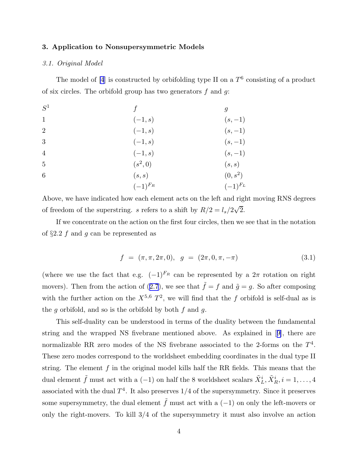## 3. Application to Nonsupersymmetric Models

#### 3.1. Original Model

The model of [\[4](#page-9-0)] is constructed by orbifolding type II on a  $T^6$  consisting of a product of six circles. The orbifold group has two generators  $f$  and  $g$ .

| $S^1$          |              | g            |
|----------------|--------------|--------------|
| $\mathbf{1}$   | $(-1, s)$    | $(s,-1)$     |
| $\overline{2}$ | $(-1, s)$    | $(s,-1)$     |
| 3              | $(-1, s)$    | $(s,-1)$     |
| $\overline{4}$ | $(-1, s)$    | $(s,-1)$     |
| $\overline{5}$ | $(s^2,0)$    | (s,s)        |
| 6              | (s,s)        | $(0, s^2)$   |
|                | $(-1)^{F_R}$ | $(-1)^{F_L}$ |

Above, we have indicated how each element acts on the left and right moving RNS degrees of freedom of the superstring. s refers to a shift by  $R/2 = l_s/2\sqrt{2}$ .

If we concentrate on the action on the first four circles, then we see that in the notation of  $\S 2.2 f$  and g can be represented as

$$
f = (\pi, \pi, 2\pi, 0), \quad g = (2\pi, 0, \pi, -\pi) \tag{3.1}
$$

(where we use the fact that e.g.  $(-1)^{F_R}$  can be represented by a  $2\pi$  rotation on right movers).Then from the action of ([2.7](#page-3-0)), we see that  $\tilde{f} = f$  and  $\tilde{g} = g$ . So after composing with the further action on the  $X^{5,6}$   $T^2$ , we will find that the f orbifold is self-dual as is the g orbifold, and so is the orbifold by both  $f$  and  $g$ .

This self-duality can be understood in terms of the duality between the fundamental string and the wrapped NS fivebrane mentioned above. As explained in[[9\]](#page-9-0), there are normalizable RR zero modes of the NS fivebrane associated to the 2-forms on the  $T<sup>4</sup>$ . These zero modes correspond to the worldsheet embedding coordinates in the dual type II string. The element  $f$  in the original model kills half the RR fields. This means that the dual element  $\tilde{f}$  must act with a (-1) on half the 8 worldsheet scalars  $\tilde{X}_{L}^{i}$ ,  $\tilde{X}_{R}^{i}$ ,  $i = 1, ..., 4$ associated with the dual  $T^4$ . It also preserves  $1/4$  of the supersymmetry. Since it preserves some supersymmetry, the dual element  $\tilde{f}$  must act with a (-1) on only the left-movers or only the right-movers. To kill 3/4 of the supersymmetry it must also involve an action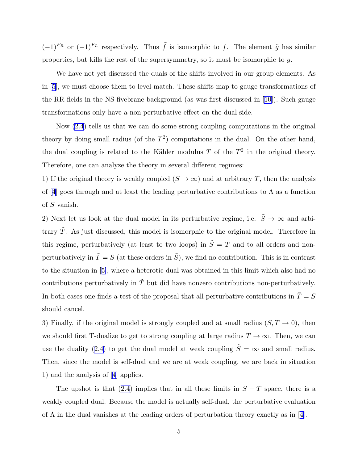$(-1)^{F_R}$  or  $(-1)^{F_L}$  respectively. Thus  $\tilde{f}$  is isomorphic to f. The element  $\tilde{g}$  has similar properties, but kills the rest of the supersymmetry, so it must be isomorphic to g.

We have not yet discussed the duals of the shifts involved in our group elements. As in [\[5](#page-9-0)], we must choose them to level-match. These shifts map to gauge transformations of the RR fields in the NS fivebrane background (as was first discussed in [\[10](#page-9-0)]). Such gauge transformations only have a non-perturbative effect on the dual side.

Now([2.4](#page-3-0)) tells us that we can do some strong coupling computations in the original theory by doing small radius (of the  $T<sup>2</sup>$ ) computations in the dual. On the other hand, the dual coupling is related to the Kähler modulus T of the  $T^2$  in the original theory. Therefore, one can analyze the theory in several different regimes:

1) If the original theory is weakly coupled  $(S \to \infty)$  and at arbitrary T, then the analysis of [\[4](#page-9-0)] goes through and at least the leading perturbative contributions to  $\Lambda$  as a function of S vanish.

2) Next let us look at the dual model in its perturbative regime, i.e.  $\tilde{S} \to \infty$  and arbitrary  $\tilde{T}$ . As just discussed, this model is isomorphic to the original model. Therefore in this regime, perturbatively (at least to two loops) in  $\tilde{S} = T$  and to all orders and nonperturbatively in  $\tilde{T} = S$  (at these orders in  $\tilde{S}$ ), we find no contribution. This is in contrast to the situation in[[5\]](#page-9-0), where a heterotic dual was obtained in this limit which also had no contributions perturbatively in  $\tilde{T}$  but did have nonzero contributions non-perturbatively. In both cases one finds a test of the proposal that all perturbative contributions in  $\tilde{T}=S$ should cancel.

3) Finally, if the original model is strongly coupled and at small radius  $(S, T \rightarrow 0)$ , then we should first T-dualize to get to strong coupling at large radius  $T \to \infty$ . Then, we can use the duality [\(2.4\)](#page-3-0) to get the dual model at weak coupling  $\tilde{S} = \infty$  and small radius. Then, since the model is self-dual and we are at weak coupling, we are back in situation 1) and the analysis of [\[4](#page-9-0)] applies.

Theupshot is that ([2.4](#page-3-0)) implies that in all these limits in  $S - T$  space, there is a weakly coupled dual. Because the model is actually self-dual, the perturbative evaluation of $\Lambda$  in the dual vanishes at the leading orders of perturbation theory exactly as in [[4\]](#page-9-0).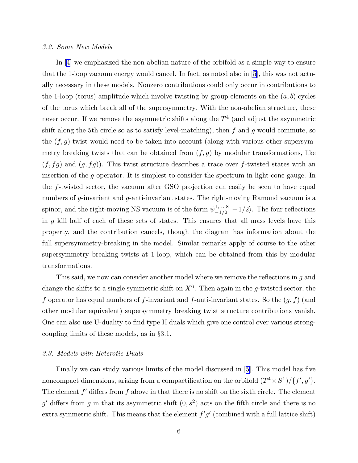#### 3.2. Some New Models

In[[4\]](#page-9-0) we emphasized the non-abelian nature of the orbifold as a simple way to ensure that the 1-loop vacuum energy would cancel. In fact, as noted also in[[5\]](#page-9-0), this was not actually necessary in these models. Nonzero contributions could only occur in contributions to the 1-loop (torus) amplitude which involve twisting by group elements on the  $(a, b)$  cycles of the torus which break all of the supersymmetry. With the non-abelian structure, these never occur. If we remove the asymmetric shifts along the  $T^4$  (and adjust the asymmetric shift along the 5th circle so as to satisfy level-matching), then  $f$  and  $g$  would commute, so the  $(f, g)$  twist would need to be taken into account (along with various other supersymmetry breaking twists that can be obtained from  $(f, g)$  by modular transformations, like  $(f, fg)$  and  $(g, fg)$ ). This twist structure describes a trace over f-twisted states with an insertion of the g operator. It is simplest to consider the spectrum in light-cone gauge. In the f-twisted sector, the vacuum after GSO projection can easily be seen to have equal numbers of g-invariant and g-anti-invariant states. The right-moving Ramond vacuum is a spinor, and the right-moving NS vacuum is of the form  $\psi_{-1/2}^{1,\ldots,8}$  $\vert_{-1/2}^{1,\ldots,8}\vert -1/2\rangle$ . The four reflections in  $q$  kill half of each of these sets of states. This ensures that all mass levels have this property, and the contribution cancels, though the diagram has information about the full supersymmetry-breaking in the model. Similar remarks apply of course to the other supersymmetry breaking twists at 1-loop, which can be obtained from this by modular transformations.

This said, we now can consider another model where we remove the reflections in q and change the shifts to a single symmetric shift on  $X^6$ . Then again in the g-twisted sector, the f operator has equal numbers of f-invariant and f-anti-invariant states. So the  $(g, f)$  (and other modular equivalent) supersymmetry breaking twist structure contributions vanish. One can also use U-duality to find type II duals which give one control over various strongcoupling limits of these models, as in §3.1.

### 3.3. Models with Heterotic Duals

Finally we can study various limits of the model discussed in [[5\]](#page-9-0). This model has five noncompact dimensions, arising from a compactification on the orbifold  $(T^4 \times S^1)/\{f',g'\}$ . The element  $f'$  differs from  $f$  above in that there is no shift on the sixth circle. The element g' differs from g in that its asymmetric shift  $(0, s^2)$  acts on the fifth circle and there is no extra symmetric shift. This means that the element  $f'g'$  (combined with a full lattice shift)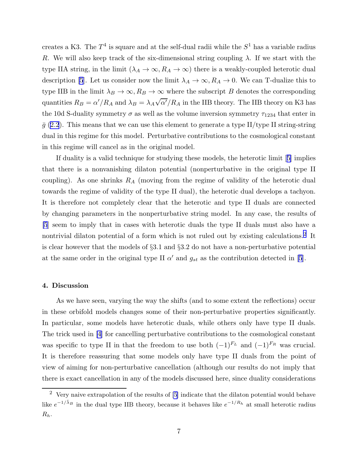creates a K3. The  $T^4$  is square and at the self-dual radii while the  $S^1$  has a variable radius R. We will also keep track of the six-dimensional string coupling  $\lambda$ . If we start with the type IIA string, in the limit  $(\lambda_A \to \infty, R_A \to \infty)$  there is a weakly-coupled heterotic dual description [\[5](#page-9-0)]. Let us consider now the limit  $\lambda_A \to \infty$ ,  $R_A \to 0$ . We can T-dualize this to type IIB in the limit  $\lambda_B \to \infty$ ,  $R_B \to \infty$  where the subscript B denotes the corresponding quantities  $R_B = \alpha'/R_A$  and  $\lambda_B = \lambda_A \sqrt{\alpha'}/R_A$  in the IIB theory. The IIB theory on K3 has the 10d S-duality symmetry  $\sigma$  as well as the volume inversion symmetry  $\tau_{1234}$  that enter in  $\bar{g}$  ([2.2](#page-2-0)). This means that we can use this element to generate a type II/type II string-string dual in this regime for this model. Perturbative contributions to the cosmological constant in this regime will cancel as in the original model.

If duality is a valid technique for studying these models, the heterotic limit[[5\]](#page-9-0) implies that there is a nonvanishing dilaton potential (nonperturbative in the original type II coupling). As one shrinks  $R_A$  (moving from the regime of validity of the heterotic dual towards the regime of validity of the type II dual), the heterotic dual develops a tachyon. It is therefore not completely clear that the heterotic and type II duals are connected by changing parameters in the nonperturbative string model. In any case, the results of [\[5](#page-9-0)] seem to imply that in cases with heterotic duals the type II duals must also have a nontrivial dilaton potential of a form which is not ruled out by existing calculations.<sup>2</sup> It is clear however that the models of §3.1 and §3.2 do not have a non-perturbative potential at the same order in the original type II  $\alpha'$  and  $g_{st}$  as the contribution detected in [\[5](#page-9-0)].

#### 4. Discussion

As we have seen, varying the way the shifts (and to some extent the reflections) occur in these orbifold models changes some of their non-perturbative properties significantly. In particular, some models have heterotic duals, while others only have type II duals. The trick used in [\[4](#page-9-0)] for cancelling perturbative contributions to the cosmological constant was specific to type II in that the freedom to use both  $(-1)^{F_L}$  and  $(-1)^{F_R}$  was crucial. It is therefore reassuring that some models only have type II duals from the point of view of aiming for non-perturbative cancellation (although our results do not imply that there is exact cancellation in any of the models discussed here, since duality considerations

<sup>&</sup>lt;sup>2</sup> Very naive extrapolation of the results of  $[5]$  indicate that the dilaton potential would behave like  $e^{-1/\tilde{\lambda}_B}$  in the dual type IIB theory, because it behaves like  $e^{-1/R_h}$  at small heterotic radius  $R_h$ .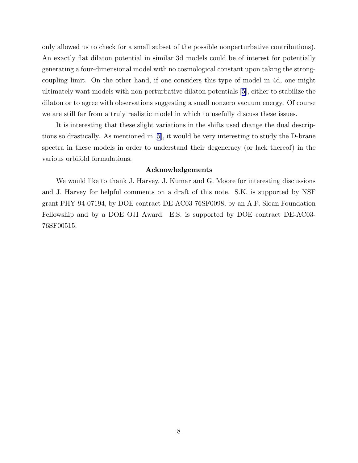only allowed us to check for a small subset of the possible nonperturbative contributions). An exactly flat dilaton potential in similar 3d models could be of interest for potentially generating a four-dimensional model with no cosmological constant upon taking the strongcoupling limit. On the other hand, if one considers this type of model in 4d, one might ultimately want models with non-perturbative dilaton potentials[[5\]](#page-9-0), either to stabilize the dilaton or to agree with observations suggesting a small nonzero vacuum energy. Of course we are still far from a truly realistic model in which to usefully discuss these issues.

It is interesting that these slight variations in the shifts used change the dual descriptions so drastically. As mentioned in[[5\]](#page-9-0), it would be very interesting to study the D-brane spectra in these models in order to understand their degeneracy (or lack thereof) in the various orbifold formulations.

#### Acknowledgements

We would like to thank J. Harvey, J. Kumar and G. Moore for interesting discussions and J. Harvey for helpful comments on a draft of this note. S.K. is supported by NSF grant PHY-94-07194, by DOE contract DE-AC03-76SF0098, by an A.P. Sloan Foundation Fellowship and by a DOE OJI Award. E.S. is supported by DOE contract DE-AC03- 76SF00515.